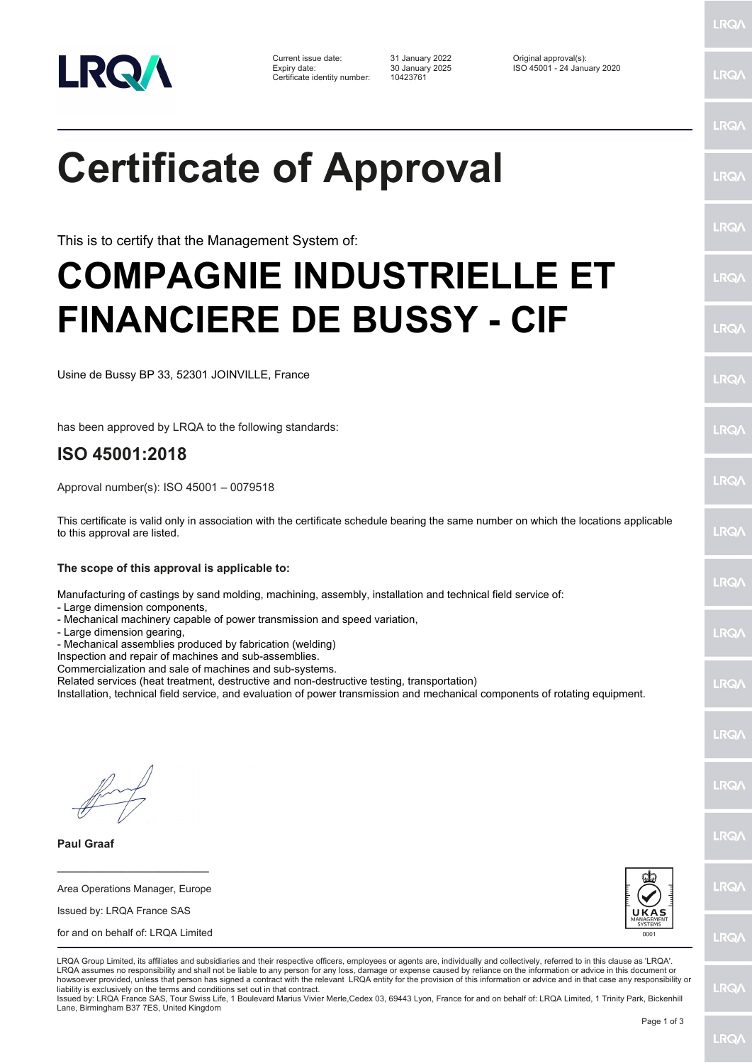

Certificate identity number: 10423761

Current issue date: 31 January 2022 Original approval(s): Expiry date: 30 January 2025 ISO 45001 - 24 January 2020

LRQ/

LRQ/

LRQ/

LRQ/

LRQ/

LRQ/

LRQ/

LRQ/

LRQ/

**IRQ** 

LRQ/

LRQ/

LRQ/

LRQ/

**IRQ** 

**LRO/** 

LRQ/

LRQ/

## **Certificate of Approval**

This is to certify that the Management System of:

## **COMPAGNIE INDUSTRIELLE ET FINANCIERE DE BUSSY - CIF**

Usine de Bussy BP 33, 52301 JOINVILLE, France

has been approved by LRQA to the following standards:

## **ISO 45001:2018**

Approval number(s): ISO 45001 – 0079518

This certificate is valid only in association with the certificate schedule bearing the same number on which the locations applicable to this approval are listed.

**The scope of this approval is applicable to:**

Manufacturing of castings by sand molding, machining, assembly, installation and technical field service of:

- Large dimension components,
- Mechanical machinery capable of power transmission and speed variation,
- Large dimension gearing,

- Mechanical assemblies produced by fabrication (welding)

Inspection and repair of machines and sub-assemblies.

Commercialization and sale of machines and sub-systems.

Related services (heat treatment, destructive and non-destructive testing, transportation)

Installation, technical field service, and evaluation of power transmission and mechanical components of rotating equipment.

**\_\_\_\_\_\_\_\_\_\_\_\_\_\_\_\_\_\_\_\_\_\_\_\_**

**Paul Graaf**

Area Operations Manager, Europe Issued by: LRQA France SAS for and on behalf of: LRQA Limited



**LRQ/** 

LRQA Group Limited, its affiliates and subsidiaries and their respective officers, employees or agents are, individually and collectively, referred to in this clause as 'LRQA'. LRQA assumes no responsibility and shall not be liable to any person for any loss, damage or expense caused by reliance on the information or advice in this document or howsoever provided, unless that person has signed a contract with the relevant LRQA entity for the provision of this information or advice and in that case any responsibility or liability is exclusively on the terms and conditions set out in that contract.

Issued by: LRQA France SAS, Tour Swiss Life, 1 Boulevard Marius Vivier Merle,Cedex 03, 69443 Lyon, France for and on behalf of: LRQA Limited, 1 Trinity Park, Bickenhill Lane, Birmingham B37 7ES, United Kingdom

LRQ/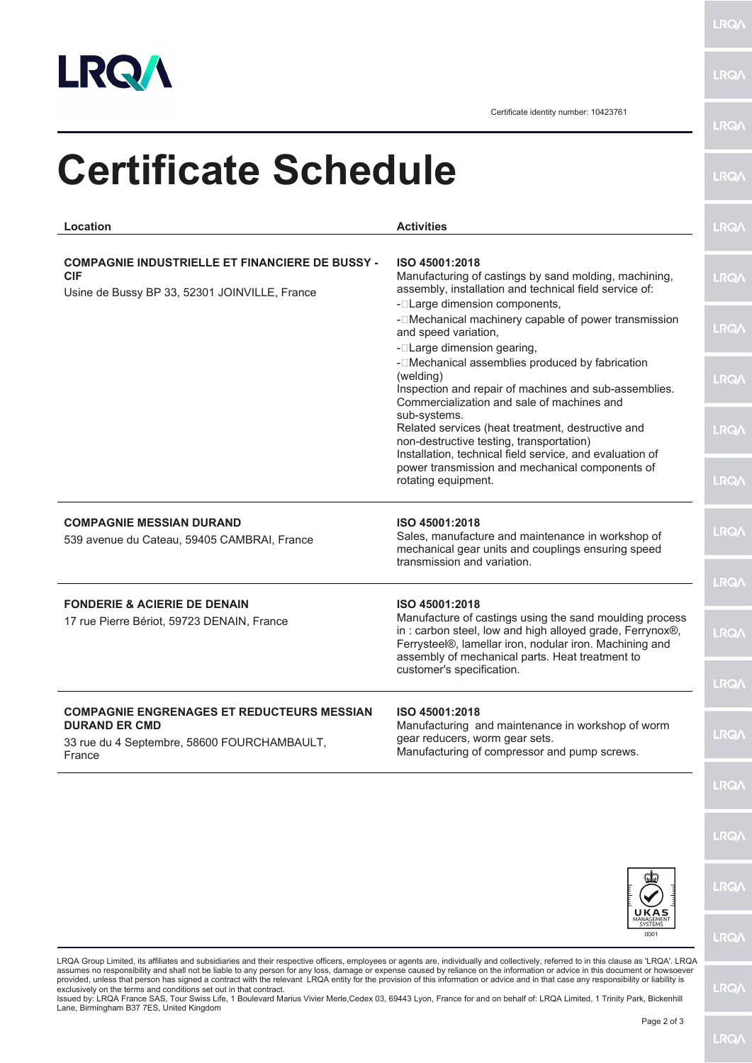

**LRQA** 

**LRQA** 

Certificate identity number: 10423761

| <b>Certificate Schedule</b>                                                                                                        |                                                                                                                                                                                                                                   | <b>LRQ/</b> |
|------------------------------------------------------------------------------------------------------------------------------------|-----------------------------------------------------------------------------------------------------------------------------------------------------------------------------------------------------------------------------------|-------------|
| Location                                                                                                                           | <b>Activities</b>                                                                                                                                                                                                                 | <b>LRQ/</b> |
| <b>COMPAGNIE INDUSTRIELLE ET FINANCIERE DE BUSSY -</b><br><b>CIF</b><br>Usine de Bussy BP 33, 52301 JOINVILLE, France              | ISO 45001:2018<br>Manufacturing of castings by sand molding, machining,<br>assembly, installation and technical field service of:<br>- <sup>-</sup> Large dimension components,                                                   | <b>LRQ/</b> |
|                                                                                                                                    | - <sup>[</sup> Mechanical machinery capable of power transmission<br>and speed variation,<br>- <b>ILarge dimension gearing,</b>                                                                                                   | <b>LRQ/</b> |
|                                                                                                                                    | - <sup>[</sup> Mechanical assemblies produced by fabrication<br>(welding)<br>Inspection and repair of machines and sub-assemblies.<br>Commercialization and sale of machines and                                                  | <b>LRQ/</b> |
|                                                                                                                                    | sub-systems.<br>Related services (heat treatment, destructive and<br>non-destructive testing, transportation)<br>Installation, technical field service, and evaluation of                                                         | <b>LRQA</b> |
|                                                                                                                                    | power transmission and mechanical components of<br>rotating equipment.                                                                                                                                                            | <b>LRQA</b> |
| <b>COMPAGNIE MESSIAN DURAND</b><br>539 avenue du Cateau, 59405 CAMBRAI, France                                                     | ISO 45001:2018<br>Sales, manufacture and maintenance in workshop of<br>mechanical gear units and couplings ensuring speed<br>transmission and variation.                                                                          | LRQ/        |
| <b>FONDERIE &amp; ACIERIE DE DENAIN</b>                                                                                            | ISO 45001:2018                                                                                                                                                                                                                    | <b>LRQ/</b> |
| 17 rue Pierre Bériot, 59723 DENAIN, France                                                                                         | Manufacture of castings using the sand moulding process<br>in: carbon steel, low and high alloyed grade, Ferrynox®,<br>Ferrysteel®, lamellar iron, nodular iron. Machining and<br>assembly of mechanical parts. Heat treatment to | <b>LRQ/</b> |
|                                                                                                                                    | customer's specification.                                                                                                                                                                                                         | LRQ/        |
| <b>COMPAGNIE ENGRENAGES ET REDUCTEURS MESSIAN</b><br><b>DURAND ER CMD</b><br>33 rue du 4 Septembre, 58600 FOURCHAMBAULT,<br>France | ISO 45001:2018<br>Manufacturing and maintenance in workshop of worm<br>gear reducers, worm gear sets.<br>Manufacturing of compressor and pump screws.                                                                             | <b>LRQ/</b> |
|                                                                                                                                    |                                                                                                                                                                                                                                   | <b>LRQ/</b> |
|                                                                                                                                    |                                                                                                                                                                                                                                   | <b>LRQA</b> |
|                                                                                                                                    | UKAS                                                                                                                                                                                                                              | <b>LRQ/</b> |
|                                                                                                                                    | MANAGEMENT<br>SYSTEMS<br>0001                                                                                                                                                                                                     | <b>LRQA</b> |

LRQA Group Limited, its affiliates and subsidiaries and their respective officers, employees or agents are, individually and collectively, referred to in this clause as 'LRQA'. LRQA assumes no responsibility and shall not be liable to any person for any loss, damage or expense caused by reliance on the information or advice in this document or howsoever<br>provided, unless that person has signed a contra

**LRQ/\**